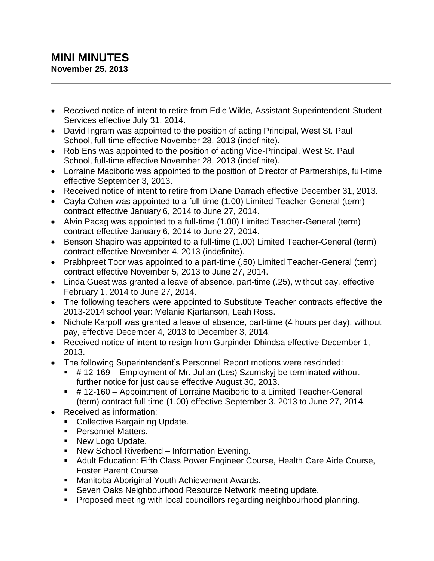## **MINI MINUTES November 25, 2013**

- Received notice of intent to retire from Edie Wilde, Assistant Superintendent-Student Services effective July 31, 2014.
- David Ingram was appointed to the position of acting Principal, West St. Paul School, full-time effective November 28, 2013 (indefinite).
- Rob Ens was appointed to the position of acting Vice-Principal, West St. Paul School, full-time effective November 28, 2013 (indefinite).
- Lorraine Maciboric was appointed to the position of Director of Partnerships, full-time effective September 3, 2013.
- Received notice of intent to retire from Diane Darrach effective December 31, 2013.
- Cayla Cohen was appointed to a full-time (1.00) Limited Teacher-General (term) contract effective January 6, 2014 to June 27, 2014.
- Alvin Pacag was appointed to a full-time (1.00) Limited Teacher-General (term) contract effective January 6, 2014 to June 27, 2014.
- Benson Shapiro was appointed to a full-time (1.00) Limited Teacher-General (term) contract effective November 4, 2013 (indefinite).
- Prabhpreet Toor was appointed to a part-time (.50) Limited Teacher-General (term) contract effective November 5, 2013 to June 27, 2014.
- Linda Guest was granted a leave of absence, part-time (.25), without pay, effective February 1, 2014 to June 27, 2014.
- The following teachers were appointed to Substitute Teacher contracts effective the 2013-2014 school year: Melanie Kjartanson, Leah Ross.
- Nichole Karpoff was granted a leave of absence, part-time (4 hours per day), without pay, effective December 4, 2013 to December 3, 2014.
- Received notice of intent to resign from Gurpinder Dhindsa effective December 1, 2013.
- The following Superintendent's Personnel Report motions were rescinded:
	- # 12-169 Employment of Mr. Julian (Les) Szumskyj be terminated without further notice for just cause effective August 30, 2013.
	- # 12-160 Appointment of Lorraine Maciboric to a Limited Teacher-General (term) contract full-time (1.00) effective September 3, 2013 to June 27, 2014.
- Received as information:
	- Collective Bargaining Update.
	- Personnel Matters.
	- New Logo Update.
	- New School Riverbend Information Evening.
	- Adult Education: Fifth Class Power Engineer Course, Health Care Aide Course, Foster Parent Course.
	- **Manitoba Aboriginal Youth Achievement Awards.**
	- **Seven Oaks Neighbourhood Resource Network meeting update.**
	- **Proposed meeting with local councillors regarding neighbourhood planning.**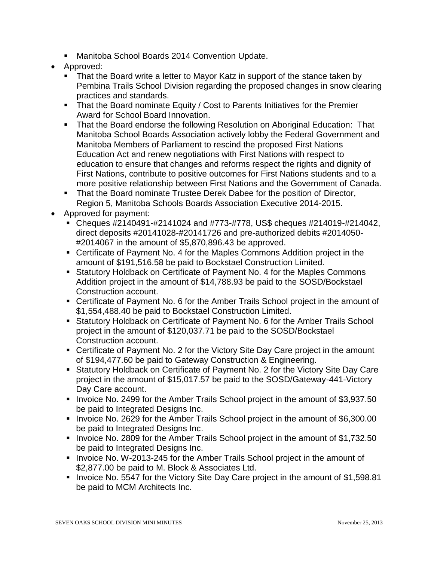- Manitoba School Boards 2014 Convention Update.
- Approved:
	- That the Board write a letter to Mayor Katz in support of the stance taken by Pembina Trails School Division regarding the proposed changes in snow clearing practices and standards.
	- That the Board nominate Equity / Cost to Parents Initiatives for the Premier Award for School Board Innovation.
	- **That the Board endorse the following Resolution on Aboriginal Education: That** Manitoba School Boards Association actively lobby the Federal Government and Manitoba Members of Parliament to rescind the proposed First Nations Education Act and renew negotiations with First Nations with respect to education to ensure that changes and reforms respect the rights and dignity of First Nations, contribute to positive outcomes for First Nations students and to a more positive relationship between First Nations and the Government of Canada.
	- That the Board nominate Trustee Derek Dabee for the position of Director, Region 5, Manitoba Schools Boards Association Executive 2014-2015.
- Approved for payment:
	- Cheques #2140491-#2141024 and #773-#778, US\$ cheques #214019-#214042, direct deposits #20141028-#20141726 and pre-authorized debits #2014050- #2014067 in the amount of \$5,870,896.43 be approved.
	- Certificate of Payment No. 4 for the Maples Commons Addition project in the amount of \$191,516.58 be paid to Bockstael Construction Limited.
	- Statutory Holdback on Certificate of Payment No. 4 for the Maples Commons Addition project in the amount of \$14,788.93 be paid to the SOSD/Bockstael Construction account.
	- Certificate of Payment No. 6 for the Amber Trails School project in the amount of \$1,554,488.40 be paid to Bockstael Construction Limited.
	- Statutory Holdback on Certificate of Payment No. 6 for the Amber Trails School project in the amount of \$120,037.71 be paid to the SOSD/Bockstael Construction account.
	- Certificate of Payment No. 2 for the Victory Site Day Care project in the amount of \$194,477.60 be paid to Gateway Construction & Engineering.
	- Statutory Holdback on Certificate of Payment No. 2 for the Victory Site Day Care project in the amount of \$15,017.57 be paid to the SOSD/Gateway-441-Victory Day Care account.
	- Invoice No. 2499 for the Amber Trails School project in the amount of \$3,937.50 be paid to Integrated Designs Inc.
	- Invoice No. 2629 for the Amber Trails School project in the amount of \$6,300.00 be paid to Integrated Designs Inc.
	- Invoice No. 2809 for the Amber Trails School project in the amount of \$1,732.50 be paid to Integrated Designs Inc.
	- Invoice No. W-2013-245 for the Amber Trails School project in the amount of \$2,877.00 be paid to M. Block & Associates Ltd.
	- Invoice No. 5547 for the Victory Site Day Care project in the amount of \$1,598.81 be paid to MCM Architects Inc.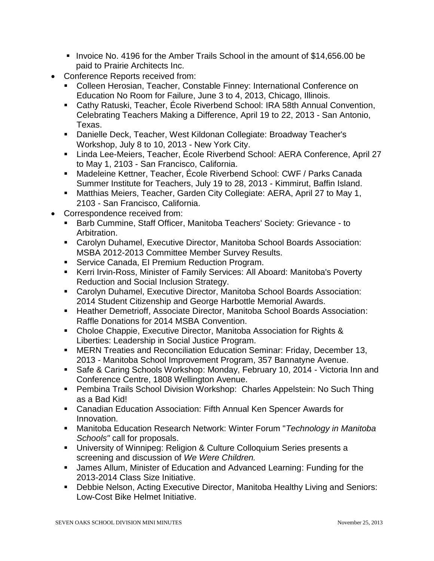- Invoice No. 4196 for the Amber Trails School in the amount of \$14,656.00 be paid to Prairie Architects Inc.
- Conference Reports received from:
	- Colleen Herosian, Teacher, Constable Finney: International Conference on Education No Room for Failure, June 3 to 4, 2013, Chicago, Illinois.
	- Cathy Ratuski, Teacher, École Riverbend School: IRA 58th Annual Convention, Celebrating Teachers Making a Difference, April 19 to 22, 2013 - San Antonio, Texas.
	- Danielle Deck, Teacher, West Kildonan Collegiate: Broadway Teacher's Workshop, July 8 to 10, 2013 - New York City.
	- Linda Lee-Meiers, Teacher, École Riverbend School: AERA Conference, April 27 to May 1, 2103 - San Francisco, California.
	- Madeleine Kettner, Teacher, École Riverbend School: CWF / Parks Canada Summer Institute for Teachers, July 19 to 28, 2013 - Kimmirut, Baffin Island.
	- Matthias Meiers, Teacher, Garden City Collegiate: AERA, April 27 to May 1, 2103 - San Francisco, California.
- Correspondence received from:
	- Barb Cummine, Staff Officer, Manitoba Teachers' Society: Grievance to Arbitration.
	- Carolyn Duhamel, Executive Director, Manitoba School Boards Association: MSBA 2012-2013 Committee Member Survey Results.
	- **Service Canada, EI Premium Reduction Program.**
	- Kerri Irvin-Ross, Minister of Family Services: All Aboard: Manitoba's Poverty Reduction and Social Inclusion Strategy.
	- Carolyn Duhamel, Executive Director, Manitoba School Boards Association: 2014 Student Citizenship and George Harbottle Memorial Awards.
	- Heather Demetrioff, Associate Director, Manitoba School Boards Association: Raffle Donations for 2014 MSBA Convention.
	- Choloe Chappie, Executive Director, Manitoba Association for Rights & Liberties: Leadership in Social Justice Program.
	- MERN Treaties and Reconciliation Education Seminar: Friday, December 13, 2013 - Manitoba School Improvement Program, 357 Bannatyne Avenue.
	- **Safe & Caring Schools Workshop: Monday, February 10, 2014 Victoria Inn and** Conference Centre, 1808 Wellington Avenue.
	- Pembina Trails School Division Workshop: Charles Appelstein: No Such Thing as a Bad Kid!
	- Canadian Education Association: Fifth Annual Ken Spencer Awards for Innovation.
	- Manitoba Education Research Network: Winter Forum "*Technology in Manitoba Schools"* call for proposals.
	- University of Winnipeg: Religion & Culture Colloquium Series presents a screening and discussion of *We Were Children.*
	- James Allum, Minister of Education and Advanced Learning: Funding for the 2013-2014 Class Size Initiative.
	- Debbie Nelson, Acting Executive Director, Manitoba Healthy Living and Seniors: Low-Cost Bike Helmet Initiative.